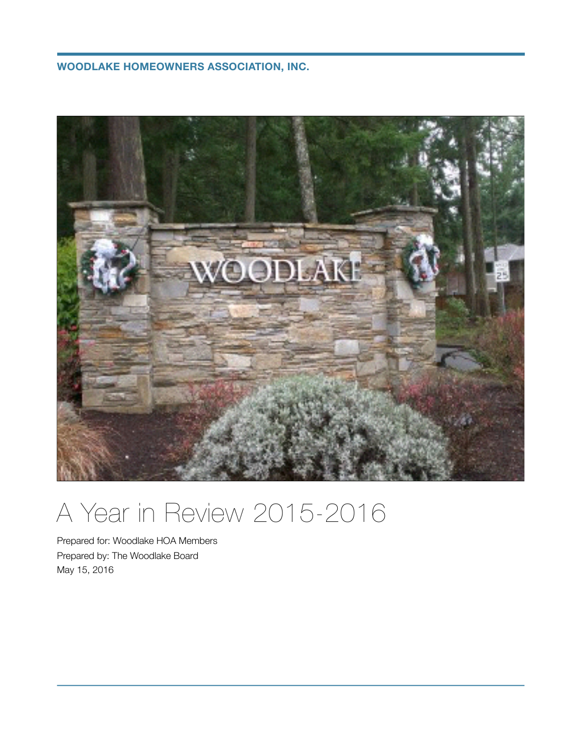**WOODLAKE HOMEOWNERS ASSOCIATION, INC.**



# A Year in Review 2015-2016

Prepared for: Woodlake HOA Members Prepared by: The Woodlake Board May 15, 2016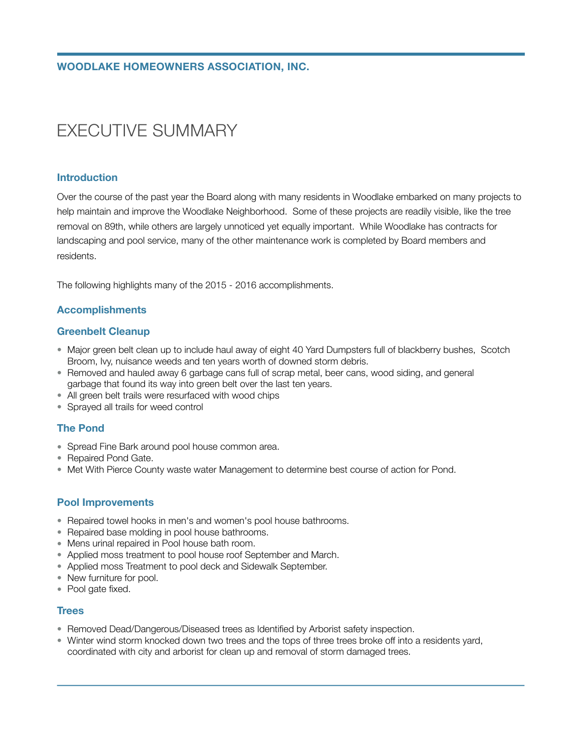# EXECUTIVE SUMMARY

#### **Introduction**

Over the course of the past year the Board along with many residents in Woodlake embarked on many projects to help maintain and improve the Woodlake Neighborhood. Some of these projects are readily visible, like the tree removal on 89th, while others are largely unnoticed yet equally important. While Woodlake has contracts for landscaping and pool service, many of the other maintenance work is completed by Board members and residents.

The following highlights many of the 2015 - 2016 accomplishments.

# **Accomplishments**

#### **Greenbelt Cleanup**

- Major green belt clean up to include haul away of eight 40 Yard Dumpsters full of blackberry bushes, Scotch Broom, Ivy, nuisance weeds and ten years worth of downed storm debris.
- Removed and hauled away 6 garbage cans full of scrap metal, beer cans, wood siding, and general garbage that found its way into green belt over the last ten years.
- All green belt trails were resurfaced with wood chips
- Sprayed all trails for weed control

# **The Pond**

- Spread Fine Bark around pool house common area.
- Repaired Pond Gate.
- Met With Pierce County waste water Management to determine best course of action for Pond.

#### **Pool Improvements**

- Repaired towel hooks in men's and women's pool house bathrooms.
- Repaired base molding in pool house bathrooms.
- Mens urinal repaired in Pool house bath room.
- Applied moss treatment to pool house roof September and March.
- Applied moss Treatment to pool deck and Sidewalk September.
- New furniture for pool.
- Pool gate fixed.

#### **Trees**

- Removed Dead/Dangerous/Diseased trees as Identified by Arborist safety inspection.
- Winter wind storm knocked down two trees and the tops of three trees broke off into a residents yard, coordinated with city and arborist for clean up and removal of storm damaged trees.